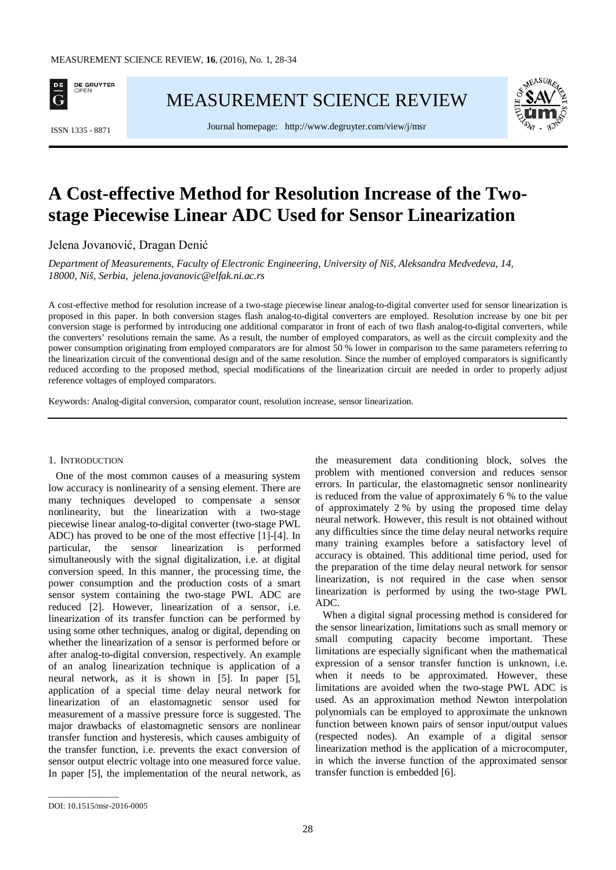

[MEASUREMENT SCIENCE REVIEW](http://www.measurement.sk/)





# **A Cost-effective Method for Resolution Increase of the Twostage Piecewise Linear ADC Used for Sensor Linearization**

Jelena Jovanović, Dragan Denić

*Department of Measurements, Faculty of Electronic Engineering, University of Niš, Aleksandra Medvedeva, 14, 18000, Niš, Serbia, jelena.jovanovic@elfak.ni.ac.rs*

A cost-effective method for resolution increase of a two-stage piecewise linear analog-to-digital converter used for sensor linearization is proposed in this paper. In both conversion stages flash analog-to-digital converters are employed. Resolution increase by one bit per conversion stage is performed by introducing one additional comparator in front of each of two flash analog-to-digital converters, while the converters' resolutions remain the same. As a result, the number of employed comparators, as well as the circuit complexity and the power consumption originating from employed comparators are for almost 50 % lower in comparison to the same parameters referring to the linearization circuit of the conventional design and of the same resolution. Since the number of employed comparators is significantly reduced according to the proposed method, special modifications of the linearization circuit are needed in order to properly adjust reference voltages of employed comparators.

Keywords: Analog-digital conversion, comparator count, resolution increase, sensor linearization.

## 1. INTRODUCTION

One of the most common causes of a measuring system low accuracy is nonlinearity of a sensing element. There are many techniques developed to compensate a sensor nonlinearity, but the linearization with a two-stage piecewise linear analog-to-digital converter (two-stage PWL ADC) has proved to be one of the most effective [1]-[4]. In particular, the sensor linearization is performed simultaneously with the signal digitalization, i.e. at digital conversion speed. In this manner, the processing time, the power consumption and the production costs of a smart sensor system containing the two-stage PWL ADC are reduced [2]. However, linearization of a sensor, i.e. linearization of its transfer function can be performed by using some other techniques, analog or digital, depending on whether the linearization of a sensor is performed before or after analog-to-digital conversion, respectively. An example of an analog linearization technique is application of a neural network, as it is shown in [5]. In paper [5], application of a special time delay neural network for linearization of an elastomagnetic sensor used for measurement of a massive pressure force is suggested. The major drawbacks of elastomagnetic sensors are nonlinear transfer function and hysteresis, which causes ambiguity of the transfer function, i.e. prevents the exact conversion of sensor output electric voltage into one measured force value. In paper [5], the implementation of the neural network, as the measurement data conditioning block, solves the problem with mentioned conversion and reduces sensor errors. In particular, the elastomagnetic sensor nonlinearity is reduced from the value of approximately 6 % to the value of approximately 2 % by using the proposed time delay neural network. However, this result is not obtained without any difficulties since the time delay neural networks require many training examples before a satisfactory level of accuracy is obtained. This additional time period, used for the preparation of the time delay neural network for sensor linearization, is not required in the case when sensor linearization is performed by using the two-stage PWL ADC.

When a digital signal processing method is considered for the sensor linearization, limitations such as small memory or small computing capacity become important. These limitations are especially significant when the mathematical expression of a sensor transfer function is unknown, i.e. when it needs to be approximated. However, these limitations are avoided when the two-stage PWL ADC is used. As an approximation method Newton interpolation polynomials can be employed to approximate the unknown function between known pairs of sensor input/output values (respected nodes). An example of a digital sensor linearization method is the application of a microcomputer, in which the inverse function of the approximated sensor transfer function is embedded [6].

\_\_\_\_\_\_\_\_\_\_\_\_\_\_\_\_\_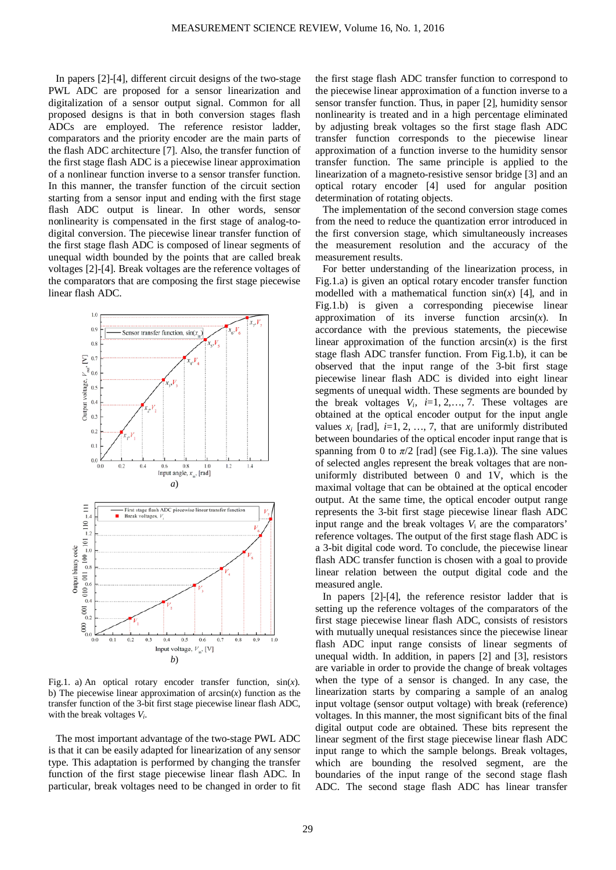In papers [2]-[4], different circuit designs of the two-stage PWL ADC are proposed for a sensor linearization and digitalization of a sensor output signal. Common for all proposed designs is that in both conversion stages flash ADCs are employed. The reference resistor ladder, comparators and the priority encoder are the main parts of the flash ADC architecture [7]. Also, the transfer function of the first stage flash ADC is a piecewise linear approximation of a nonlinear function inverse to a sensor transfer function. In this manner, the transfer function of the circuit section starting from a sensor input and ending with the first stage flash ADC output is linear. In other words, sensor nonlinearity is compensated in the first stage of analog-todigital conversion. The piecewise linear transfer function of the first stage flash ADC is composed of linear segments of unequal width bounded by the points that are called break voltages [2]-[4]. Break voltages are the reference voltages of the comparators that are composing the first stage piecewise linear flash ADC.



Fig.1. a) An optical rotary encoder transfer function, sin(*x*). b) The piecewise linear approximation of arcsin(*x*) function as the transfer function of the 3-bit first stage piecewise linear flash ADC, with the break voltages *Vi*.

The most important advantage of the two-stage PWL ADC is that it can be easily adapted for linearization of any sensor type. This adaptation is performed by changing the transfer function of the first stage piecewise linear flash ADC. In particular, break voltages need to be changed in order to fit

the first stage flash ADC transfer function to correspond to the piecewise linear approximation of a function inverse to a sensor transfer function. Thus, in paper [2], humidity sensor nonlinearity is treated and in a high percentage eliminated by adjusting break voltages so the first stage flash ADC transfer function corresponds to the piecewise linear approximation of a function inverse to the humidity sensor transfer function. The same principle is applied to the linearization of a magneto-resistive sensor bridge [3] and an optical rotary encoder [4] used for angular position determination of rotating objects.

The implementation of the second conversion stage comes from the need to reduce the quantization error introduced in the first conversion stage, which simultaneously increases the measurement resolution and the accuracy of the measurement results.

For better understanding of the linearization process, in Fig.1.a) is given an optical rotary encoder transfer function modelled with a mathematical function  $sin(x)$  [4], and in Fig.1.b) is given a corresponding piecewise linear approximation of its inverse function arcsin(*x*). In accordance with the previous statements, the piecewise linear approximation of the function  $arcsin(x)$  is the first stage flash ADC transfer function. From Fig.1.b), it can be observed that the input range of the 3-bit first stage piecewise linear flash ADC is divided into eight linear segments of unequal width. These segments are bounded by the break voltages  $V_i$ ,  $i=1, 2, ..., 7$ . These voltages are obtained at the optical encoder output for the input angle values  $x_i$  [rad],  $i=1, 2, ..., 7$ , that are uniformly distributed between boundaries of the optical encoder input range that is spanning from 0 to  $\pi/2$  [rad] (see Fig.1.a)). The sine values of selected angles represent the break voltages that are nonuniformly distributed between 0 and 1V, which is the maximal voltage that can be obtained at the optical encoder output. At the same time, the optical encoder output range represents the 3-bit first stage piecewise linear flash ADC input range and the break voltages  $V_i$  are the comparators' reference voltages. The output of the first stage flash ADC is a 3-bit digital code word. To conclude, the piecewise linear flash ADC transfer function is chosen with a goal to provide linear relation between the output digital code and the measured angle.

In papers [2]-[4], the reference resistor ladder that is setting up the reference voltages of the comparators of the first stage piecewise linear flash ADC, consists of resistors with mutually unequal resistances since the piecewise linear flash ADC input range consists of linear segments of unequal width. In addition, in papers [2] and [3], resistors are variable in order to provide the change of break voltages when the type of a sensor is changed. In any case, the linearization starts by comparing a sample of an analog input voltage (sensor output voltage) with break (reference) voltages. In this manner, the most significant bits of the final digital output code are obtained. These bits represent the linear segment of the first stage piecewise linear flash ADC input range to which the sample belongs. Break voltages, which are bounding the resolved segment, are the boundaries of the input range of the second stage flash ADC. The second stage flash ADC has linear transfer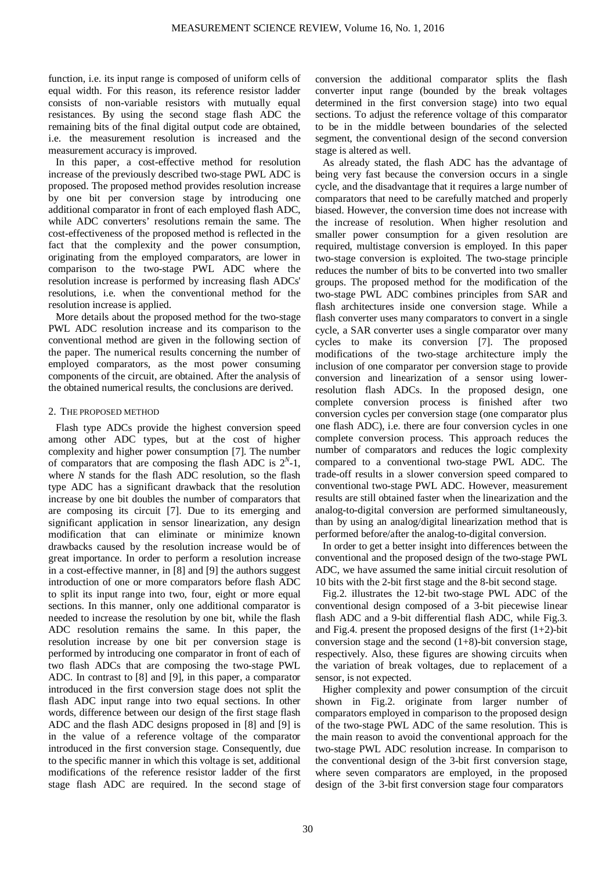function, i.e. its input range is composed of uniform cells of equal width. For this reason, its reference resistor ladder consists of non-variable resistors with mutually equal resistances. By using the second stage flash ADC the remaining bits of the final digital output code are obtained, i.e. the measurement resolution is increased and the measurement accuracy is improved.

In this paper, a cost-effective method for resolution increase of the previously described two-stage PWL ADC is proposed. The proposed method provides resolution increase by one bit per conversion stage by introducing one additional comparator in front of each employed flash ADC, while ADC converters' resolutions remain the same. The cost-effectiveness of the proposed method is reflected in the fact that the complexity and the power consumption, originating from the employed comparators, are lower in comparison to the two-stage PWL ADC where the resolution increase is performed by increasing flash ADCs' resolutions, i.e. when the conventional method for the resolution increase is applied.

More details about the proposed method for the two-stage PWL ADC resolution increase and its comparison to the conventional method are given in the following section of the paper. The numerical results concerning the number of employed comparators, as the most power consuming components of the circuit, are obtained. After the analysis of the obtained numerical results, the conclusions are derived.

# 2. THE PROPOSED METHOD

Flash type ADCs provide the highest conversion speed among other ADC types, but at the cost of higher complexity and higher power consumption [7]. The number of comparators that are composing the flash ADC is  $2^N-1$ , where *N* stands for the flash ADC resolution, so the flash type ADC has a significant drawback that the resolution increase by one bit doubles the number of comparators that are composing its circuit [7]. Due to its emerging and significant application in sensor linearization, any design modification that can eliminate or minimize known drawbacks caused by the resolution increase would be of great importance. In order to perform a resolution increase in a cost-effective manner, in [8] and [9] the authors suggest introduction of one or more comparators before flash ADC to split its input range into two, four, eight or more equal sections. In this manner, only one additional comparator is needed to increase the resolution by one bit, while the flash ADC resolution remains the same. In this paper, the resolution increase by one bit per conversion stage is performed by introducing one comparator in front of each of two flash ADCs that are composing the two-stage PWL ADC. In contrast to [8] and [9], in this paper, a comparator introduced in the first conversion stage does not split the flash ADC input range into two equal sections. In other words, difference between our design of the first stage flash ADC and the flash ADC designs proposed in [8] and [9] is in the value of a reference voltage of the comparator introduced in the first conversion stage. Consequently, due to the specific manner in which this voltage is set, additional modifications of the reference resistor ladder of the first stage flash ADC are required. In the second stage of

conversion the additional comparator splits the flash converter input range (bounded by the break voltages determined in the first conversion stage) into two equal sections. To adjust the reference voltage of this comparator to be in the middle between boundaries of the selected segment, the conventional design of the second conversion stage is altered as well.

As already stated, the flash ADC has the advantage of being very fast because the conversion occurs in a single cycle, and the disadvantage that it requires a large number of comparators that need to be carefully matched and properly biased. However, the conversion time does not increase with the increase of resolution. When higher resolution and smaller power consumption for a given resolution are required, multistage conversion is employed. In this paper two-stage conversion is exploited. The two-stage principle reduces the number of bits to be converted into two smaller groups. The proposed method for the modification of the two-stage PWL ADC combines principles from SAR and flash architectures inside one conversion stage. While a flash converter uses many comparators to convert in a single cycle, a SAR converter uses a single comparator over many cycles to make its conversion [7]. The proposed modifications of the two-stage architecture imply the inclusion of one comparator per conversion stage to provide conversion and linearization of a sensor using lowerresolution flash ADCs. In the proposed design, one complete conversion process is finished after two conversion cycles per conversion stage (one comparator plus one flash ADC), i.e. there are four conversion cycles in one complete conversion process. This approach reduces the number of comparators and reduces the logic complexity compared to a conventional two-stage PWL ADC. The trade-off results in a slower conversion speed compared to conventional two-stage PWL ADC. However, measurement results are still obtained faster when the linearization and the analog-to-digital conversion are performed simultaneously, than by using an analog/digital linearization method that is performed before/after the analog-to-digital conversion.

In order to get a better insight into differences between the conventional and the proposed design of the two-stage PWL ADC, we have assumed the same initial circuit resolution of 10 bits with the 2-bit first stage and the 8-bit second stage.

Fig.2. illustrates the 12-bit two-stage PWL ADC of the conventional design composed of a 3-bit piecewise linear flash ADC and a 9-bit differential flash ADC, while Fig.3. and Fig.4. present the proposed designs of the first  $(1+2)$ -bit conversion stage and the second  $(1+8)$ -bit conversion stage, respectively. Also, these figures are showing circuits when the variation of break voltages, due to replacement of a sensor, is not expected.

Higher complexity and power consumption of the circuit shown in Fig.2. originate from larger number of comparators employed in comparison to the proposed design of the two-stage PWL ADC of the same resolution. This is the main reason to avoid the conventional approach for the two-stage PWL ADC resolution increase. In comparison to the conventional design of the 3-bit first conversion stage, where seven comparators are employed, in the proposed design of the 3-bit first conversion stage four comparators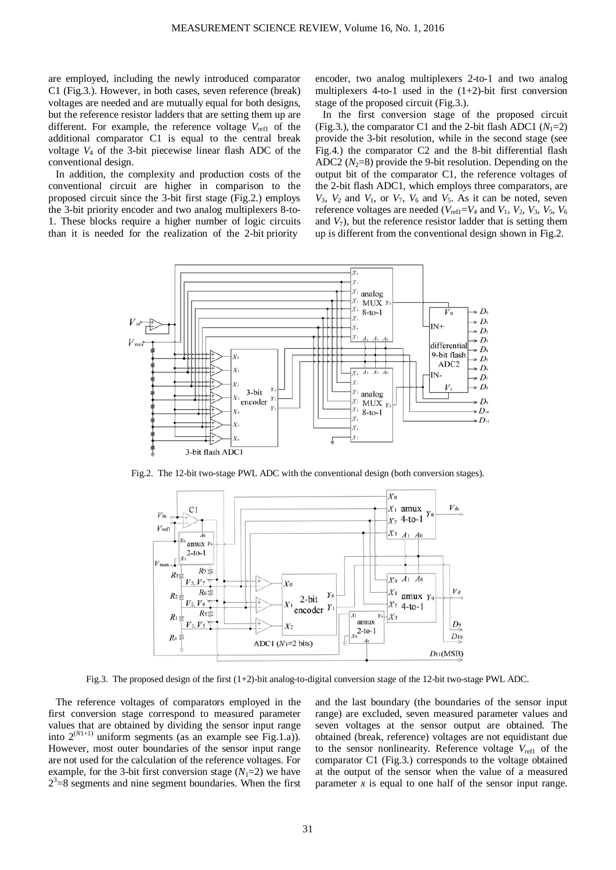are employed, including the newly introduced comparator C1 (Fig.3.). However, in both cases, seven reference (break) voltages are needed and are mutually equal for both designs, but the reference resistor ladders that are setting them up are different. For example, the reference voltage  $V_{\text{refl}}$  of the additional comparator C1 is equal to the central break voltage  $V_4$  of the 3-bit piecewise linear flash ADC of the conventional design.

In addition, the complexity and production costs of the conventional circuit are higher in comparison to the proposed circuit since the 3-bit first stage (Fig.2.) employs the 3-bit priority encoder and two analog multiplexers 8-to-1. These blocks require a higher number of logic circuits than it is needed for the realization of the 2-bit priority

encoder, two analog multiplexers 2-to-1 and two analog multiplexers 4-to-1 used in the  $(1+2)$ -bit first conversion stage of the proposed circuit (Fig.3.).

In the first conversion stage of the proposed circuit (Fig.3.), the comparator C1 and the 2-bit flash ADC1  $(N_1=2)$ ) provide the 3-bit resolution, while in the second stage (see Fig.4.) the comparator C2 and the 8-bit differential flash ADC2  $(N_2=8)$  provide the 9-bit resolution. Depending on the output bit of the comparator C1, the reference voltages of the 2-bit flash ADC1, which employs three comparators, are  $V_3$ ,  $V_2$  and  $V_1$ , or  $V_7$ ,  $V_6$  and  $V_5$ . As it can be noted, seven reference voltages are needed ( $V_{\text{refl}}=V_4$  and  $V_1$ ,  $V_2$ ,  $V_3$ ,  $V_5$ ,  $V_6$ and  $V_7$ ), but the reference resistor ladder that is setting them up is different from the conventional design shown in Fig.2.



Fig.2. The 12-bit two-stage PWL ADC with the conventional design (both conversion stages).



Fig.3. The proposed design of the first (1+2)-bit analog-to-digital conversion stage of the 12-bit two-stage PWL ADC.

The reference voltages of comparators employed in the first conversion stage correspond to measured parameter values that are obtained by dividing the sensor input range into  $2^{(N1+1)}$  uniform segments (as an example see Fig.1.a)). However, most outer boundaries of the sensor input range are not used for the calculation of the reference voltages. For example, for the 3-bit first conversion stage  $(N_1=2)$  we have  $2<sup>3</sup>=8$  segments and nine segment boundaries. When the first and the last boundary (the boundaries of the sensor input range) are excluded, seven measured parameter values and seven voltages at the sensor output are obtained. The obtained (break, reference) voltages are not equidistant due to the sensor nonlinearity. Reference voltage  $V_{refl}$  of the comparator C1 (Fig.3.) corresponds to the voltage obtained at the output of the sensor when the value of a measured parameter  $x$  is equal to one half of the sensor input range.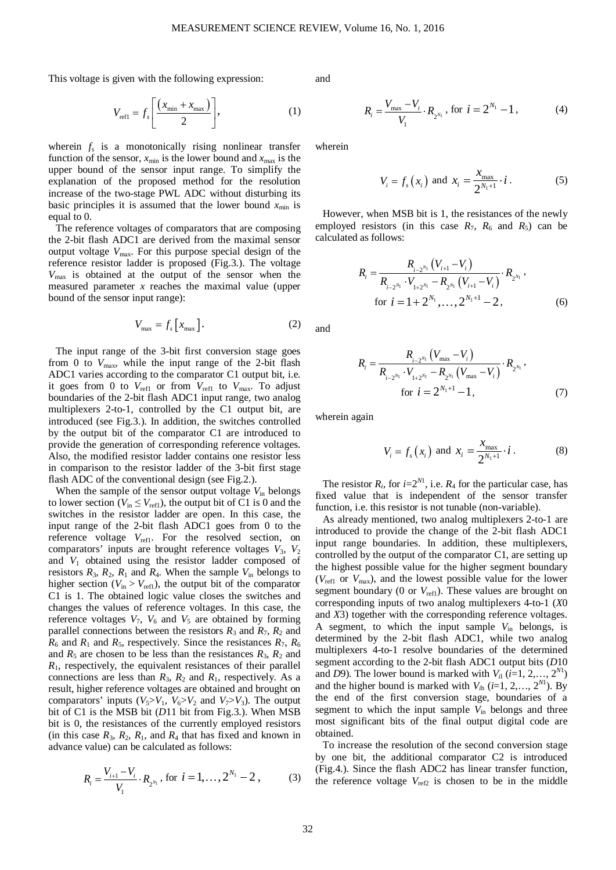This voltage is given with the following expression:

$$
V_{\text{ref1}} = f_s \left[ \frac{\left( x_{\text{min}} + x_{\text{max}} \right)}{2} \right],\tag{1}
$$

wherein  $f_s$  is a monotonically rising nonlinear transfer function of the sensor,  $x_{min}$  is the lower bound and  $x_{max}$  is the upper bound of the sensor input range. To simplify the explanation of the proposed method for the resolution increase of the two-stage PWL ADC without disturbing its basic principles it is assumed that the lower bound  $x_{\text{min}}$  is equal to 0.

The reference voltages of comparators that are composing the 2-bit flash ADC1 are derived from the maximal sensor output voltage  $V_{\text{max}}$ . For this purpose special design of the reference resistor ladder is proposed (Fig.3.). The voltage *V*max is obtained at the output of the sensor when the measured parameter *x* reaches the maximal value (upper bound of the sensor input range):

$$
V_{\text{max}} = f_s \left[ x_{\text{max}} \right]. \tag{2}
$$

The input range of the 3-bit first conversion stage goes from 0 to  $V_{\text{max}}$ , while the input range of the 2-bit flash ADC1 varies according to the comparator C1 output bit, i.e. it goes from 0 to  $V_{refl}$  or from  $V_{refl}$  to  $V_{max}$ . To adjust boundaries of the 2-bit flash ADC1 input range, two analog multiplexers 2-to-1, controlled by the C1 output bit, are introduced (see Fig.3.). In addition, the switches controlled by the output bit of the comparator C1 are introduced to provide the generation of corresponding reference voltages. Also, the modified resistor ladder contains one resistor less in comparison to the resistor ladder of the 3-bit first stage flash ADC of the conventional design (see Fig.2.).

When the sample of the sensor output voltage  $V_{\text{in}}$  belongs to lower section ( $V_{\text{in}} \leq V_{\text{ref1}}$ ), the output bit of C1 is 0 and the switches in the resistor ladder are open. In this case, the input range of the 2-bit flash ADC1 goes from 0 to the reference voltage  $V_{refl}$ . For the resolved section, on comparators' inputs are brought reference voltages  $V_3$ ,  $V_2$ and *V*<sup>1</sup> obtained using the resistor ladder composed of resistors  $R_3$ ,  $R_2$ ,  $R_1$  and  $R_4$ . When the sample  $V_{in}$  belongs to higher section ( $V_{\text{in}} > V_{\text{refl}}$ ), the output bit of the comparator C1 is 1. The obtained logic value closes the switches and changes the values of reference voltages. In this case, the reference voltages  $V_7$ ,  $V_6$  and  $V_5$  are obtained by forming parallel connections between the resistors  $R_3$  and  $R_7$ ,  $R_2$  and  $R_6$  and  $R_1$  and  $R_5$ , respectively. Since the resistances  $R_7$ ,  $R_6$ and  $R_5$  are chosen to be less than the resistances  $R_3$ ,  $R_2$  and  $R<sub>1</sub>$ , respectively, the equivalent resistances of their parallel connections are less than  $R_3$ ,  $R_2$  and  $R_1$ , respectively. As a result, higher reference voltages are obtained and brought on comparators' inputs  $(V_5 > V_1, V_6 > V_2$  and  $V_7 > V_3$ ). The output bit of C1 is the MSB bit (*D*11 bit from Fig.3.). When MSB bit is 0, the resistances of the currently employed resistors (in this case  $R_3$ ,  $R_2$ ,  $R_1$ , and  $R_4$  that has fixed and known in advance value) can be calculated as follows:

$$
R_i = \frac{V_{i+1} - V_i}{V_1} \cdot R_{2^{N_1}}, \text{ for } i = 1, ..., 2^{N_1} - 2, \quad (3)
$$

and

$$
R_i = \frac{V_{\text{max}} - V_i}{V_1} \cdot R_{2^{N_i}} \text{, for } i = 2^{N_1} - 1 \text{,}
$$
 (4)

wherein

$$
V_i = f_s(x_i)
$$
 and  $x_i = \frac{x_{\text{max}}}{2^{N_1 + 1}} \cdot i$ . (5)

However, when MSB bit is 1, the resistances of the newly employed resistors (in this case  $R_7$ ,  $R_6$  and  $R_5$ ) can be calculated as follows:

$$
R_{i} = \frac{R_{i-2^{N_{1}}}}{R_{i-2^{N_{1}}}} \cdot V_{1+2^{N_{1}}} - R_{2^{N_{1}}}} \cdot V_{2^{N_{1}}} \cdot R_{2^{N_{1}}}},
$$
  
for  $i = 1 + 2^{N_{1}}, \dots, 2^{N_{1}+1} - 2,$  (6)

and

$$
R_{i} = \frac{R_{i-2^{N_{1}}}}{R_{i-2^{N_{1}}}} \cdot V_{1+2^{N_{1}}} - R_{2^{N_{1}}}} \cdot V_{\text{max}} - V_{i}) \cdot R_{2^{N_{1}}}},
$$
  
for  $i = 2^{N_{1}+1} - 1,$  (7)

wherein again

$$
V_i = f_s(x_i) \text{ and } x_i = \frac{x_{\text{max}}}{2^{N_1 + 1}} \cdot i \,. \tag{8}
$$

The resistor  $R_i$ , for  $i=2^{N_1}$ , i.e.  $R_4$  for the particular case, has fixed value that is independent of the sensor transfer function, i.e. this resistor is not tunable (non-variable).

As already mentioned, two analog multiplexers 2-to-1 are introduced to provide the change of the 2-bit flash ADC1 input range boundaries. In addition, these multiplexers, controlled by the output of the comparator C1, are setting up the highest possible value for the higher segment boundary  $(V_{refl}$  or  $V_{max}$ ), and the lowest possible value for the lower segment boundary (0 or  $V_{refl}$ ). These values are brought on corresponding inputs of two analog multiplexers 4-to-1 (*X*0 and *X*3) together with the corresponding reference voltages. A segment, to which the input sample  $V_{\text{in}}$  belongs, is determined by the 2-bit flash ADC1, while two analog multiplexers 4-to-1 resolve boundaries of the determined segment according to the 2-bit flash ADC1 output bits (*D*10 and *D*9). The lower bound is marked with  $V_{i1}$  ( $i=1, 2, ..., 2^{N_1}$ ) and the higher bound is marked with  $V_{ih}$  ( $i=1, 2, ..., 2^{N1}$ ). By the end of the first conversion stage, boundaries of a segment to which the input sample  $V_{in}$  belongs and three most significant bits of the final output digital code are obtained.

To increase the resolution of the second conversion stage by one bit, the additional comparator C2 is introduced (Fig.4.). Since the flash ADC2 has linear transfer function, the reference voltage  $V_{ref2}$  is chosen to be in the middle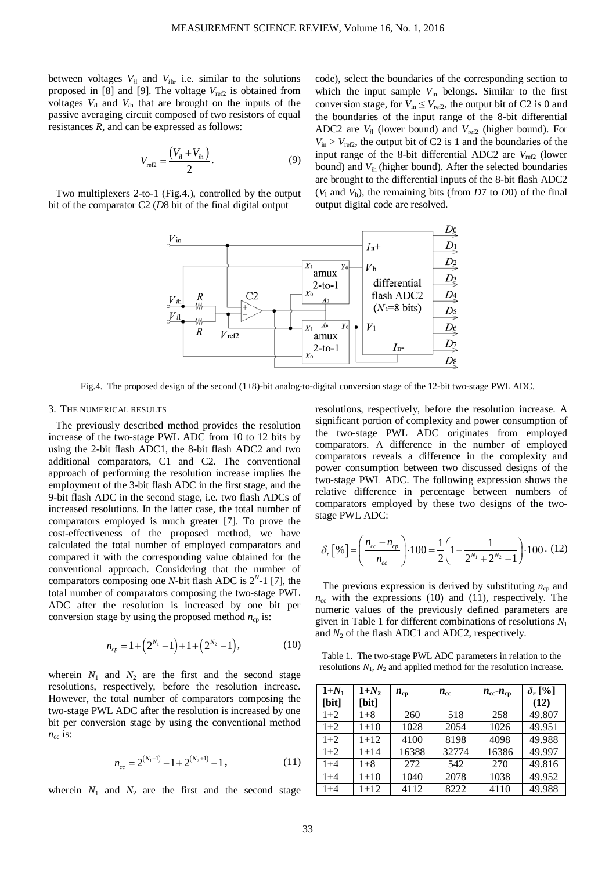between voltages *Vi*<sup>l</sup> and *Vi*h, i.e. similar to the solutions proposed in [8] and [9]. The voltage  $V_{ref2}$  is obtained from voltages *Vi*<sup>l</sup> and *Vi*<sup>h</sup> that are brought on the inputs of the passive averaging circuit composed of two resistors of equal resistances *R*, and can be expressed as follows:

$$
V_{\text{ref2}} = \frac{(V_{i1} + V_{i\text{h}})}{2}.
$$
 (9)

Two multiplexers 2-to-1 (Fig.4.), controlled by the output bit of the comparator C2 (*D*8 bit of the final digital output

code), select the boundaries of the corresponding section to which the input sample  $V_{\text{in}}$  belongs. Similar to the first conversion stage, for  $V_{\text{in}} \leq V_{\text{ref2}}$ , the output bit of C2 is 0 and the boundaries of the input range of the 8-bit differential ADC2 are  $V_{i1}$  (lower bound) and  $V_{ref2}$  (higher bound). For  $V_{\text{in}} > V_{\text{ref2}}$ , the output bit of C2 is 1 and the boundaries of the input range of the 8-bit differential ADC2 are  $V_{ref2}$  (lower bound) and *Vi*h (higher bound). After the selected boundaries are brought to the differential inputs of the 8-bit flash ADC2  $(V_1$  and  $V_1$ ), the remaining bits (from *D*7 to *D*0) of the final output digital code are resolved.



Fig.4. The proposed design of the second (1+8)-bit analog-to-digital conversion stage of the 12-bit two-stage PWL ADC.

#### 3. THE NUMERICAL RESULTS

The previously described method provides the resolution increase of the two-stage PWL ADC from 10 to 12 bits by using the 2-bit flash ADC1, the 8-bit flash ADC2 and two additional comparators, C1 and C2. The conventional approach of performing the resolution increase implies the employment of the 3-bit flash ADC in the first stage, and the 9-bit flash ADC in the second stage, i.e. two flash ADCs of increased resolutions. In the latter case, the total number of comparators employed is much greater [7]. To prove the cost-effectiveness of the proposed method, we have calculated the total number of employed comparators and compared it with the corresponding value obtained for the conventional approach. Considering that the number of comparators composing one *N*-bit flash ADC is  $2^N$ -1 [7], the total number of comparators composing the two-stage PWL ADC after the resolution is increased by one bit per conversion stage by using the proposed method  $n_{cp}$  is:

$$
n_{cp} = 1 + (2^{N_1} - 1) + 1 + (2^{N_2} - 1),
$$
 (10)

wherein  $N_1$  and  $N_2$  are the first and the second stage resolutions, respectively, before the resolution increase. However, the total number of comparators composing the two-stage PWL ADC after the resolution is increased by one bit per conversion stage by using the conventional method  $n_{\rm cc}$  is:

$$
n_{cc} = 2^{(N_1+1)} - 1 + 2^{(N_2+1)} - 1, \tag{11}
$$

wherein  $N_1$  and  $N_2$  are the first and the second stage

resolutions, respectively, before the resolution increase. A significant portion of complexity and power consumption of the two-stage PWL ADC originates from employed comparators. A difference in the number of employed comparators reveals a difference in the complexity and power consumption between two discussed designs of the two-stage PWL ADC. The following expression shows the relative difference in percentage between numbers of comparators employed by these two designs of the twostage PWL ADC:

$$
\delta_r \left[ \% \right] = \left( \frac{n_{cc} - n_{cp}}{n_{cc}} \right) \cdot 100 = \frac{1}{2} \left( 1 - \frac{1}{2^{N_1} + 2^{N_2} - 1} \right) \cdot 100. \tag{12}
$$

The previous expression is derived by substituting  $n_{cp}$  and  $n_{\rm cc}$  with the expressions (10) and (11), respectively. The numeric values of the previously defined parameters are given in Table 1 for different combinations of resolutions *N*<sup>1</sup> and  $N_2$  of the flash ADC1 and ADC2, respectively.

Table 1. The two-stage PWL ADC parameters in relation to the resolutions  $N_1$ ,  $N_2$  and applied method for the resolution increase.

| $1+N_1$ | $1+N_2$  | $n_{cp}$ | $n_{\rm cc}$ | $n_{\rm cc}$ - $n_{\rm cp}$ | $\delta_{r}$ [%] |
|---------|----------|----------|--------------|-----------------------------|------------------|
| [bit]   | [bit]    |          |              |                             | (12)             |
| $1+2$   | $1 + 8$  | 260      | 518          | 258                         | 49.807           |
| $1+2$   | $1 + 10$ | 1028     | 2054         | 1026                        | 49.951           |
| $1+2$   | $1+12$   | 4100     | 8198         | 4098                        | 49.988           |
| $1+2$   | $1 + 14$ | 16388    | 32774        | 16386                       | 49.997           |
| $1 + 4$ | $1 + 8$  | 272      | 542          | 270                         | 49.816           |
| $1 + 4$ | $1 + 10$ | 1040     | 2078         | 1038                        | 49.952           |
| $1 + 4$ | $1 + 12$ | 4112     | 8222         | 4110                        | 49.988           |